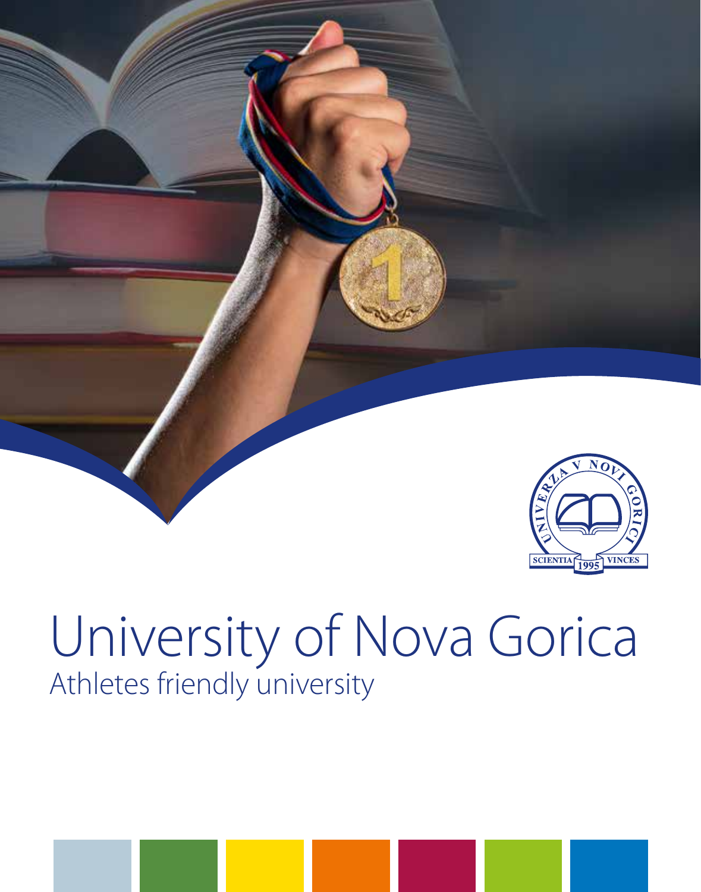



# University of Nova Gorica Athletes friendly university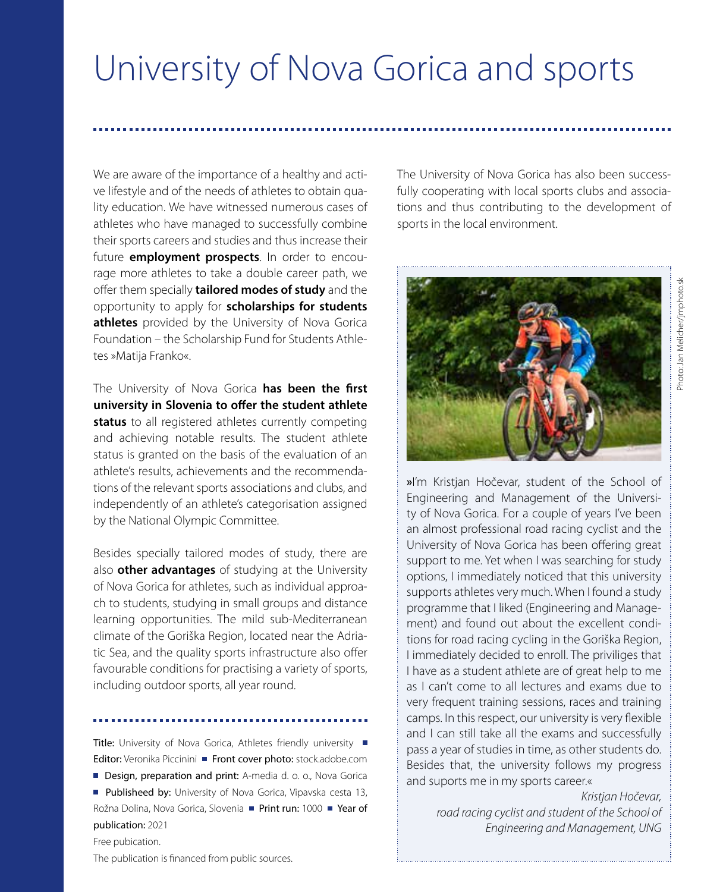# University of Nova Gorica and sports

We are aware of the importance of a healthy and active lifestyle and of the needs of athletes to obtain quality education. We have witnessed numerous cases of athletes who have managed to successfully combine their sports careers and studies and thus increase their future **employment prospects**. In order to encourage more athletes to take a double career path, we offer them specially **tailored modes of study** and the opportunity to apply for **scholarships for students athletes** provided by the University of Nova Gorica Foundation – the Scholarship Fund for Students Athletes »Matija Franko«.

The University of Nova Gorica **has been the first university in Slovenia to offer the student athlete status** to all registered athletes currently competing and achieving notable results. The student athlete status is granted on the basis of the evaluation of an athlete's results, achievements and the recommendations of the relevant sports associations and clubs, and independently of an athlete's categorisation assigned by the National Olympic Committee.

Besides specially tailored modes of study, there are also **other advantages** of studying at the University of Nova Gorica for athletes, such as individual approach to students, studying in small groups and distance learning opportunities. The mild sub-Mediterranean climate of the Goriška Region, located near the Adriatic Sea, and the quality sports infrastructure also offer favourable conditions for practising a variety of sports, including outdoor sports, all year round.

Title: University of Nova Gorica, Athletes friendly university Editor: Veronika Piccinini **Front cover photo:** stock.adobe.com

Design, preparation and print: A-media d. o. o., Nova Gorica Publisheed by: University of Nova Gorica, Vipayska cesta 13, Rožna Dolina, Nova Gorica, Slovenia ■ Print run: 1000 ■ Year of publication: 2021

Free pubication.

The University of Nova Gorica has also been successfully cooperating with local sports clubs and associations and thus contributing to the development of sports in the local environment.



**»**I'm Kristjan Hočevar, student of the School of Engineering and Management of the University of Nova Gorica. For a couple of years I've been an almost professional road racing cyclist and the University of Nova Gorica has been offering great support to me. Yet when I was searching for study options, I immediately noticed that this university supports athletes very much. When I found a study programme that I liked (Engineering and Management) and found out about the excellent conditions for road racing cycling in the Goriška Region, I immediately decided to enroll. The priviliges that I have as a student athlete are of great help to me as I can't come to all lectures and exams due to very frequent training sessions, races and training camps. In this respect, our university is very flexible and I can still take all the exams and successfully pass a year of studies in time, as other students do. Besides that, the university follows my progress and suports me in my sports career.«

> *Kristjan Hočevar, road racing cyclist and student of the School of Engineering and Management, UNG*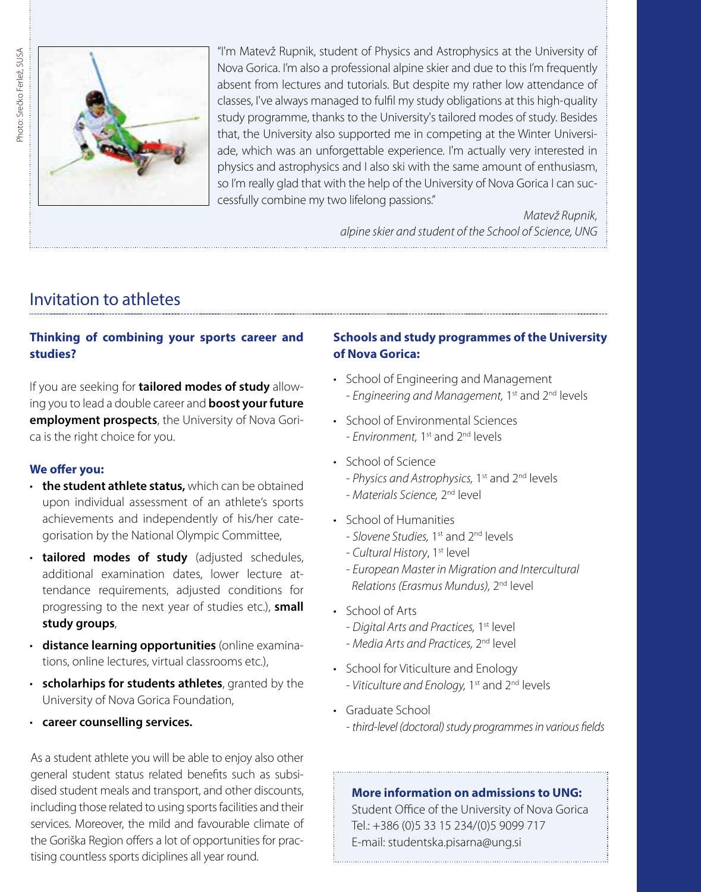

"I'm Matevž Rupnik, student of Physics and Astrophysics at the University of Nova Gorica. I'm also a professional alpine skier and due to this I'm frequently absent from lectures and tutorials. But despite my rather low attendance of classes, I've always managed to fulfil my study obligations at this high-quality study programme, thanks to the University's tailored modes of study. Besides that, the University also supported me in competing at the Winter Universiade, which was an unforgettable experience. I'm actually very interested in physics and astrophysics and I also ski with the same amount of enthusiasm, so I'm really glad that with the help of the University of Nova Gorica I can successfully combine my two lifelong passions."

> *Matevž Rupnik, alpine skier and student of the School of Science, UNG*

# Invitation to athletes

# **Thinking of combining your sports career and studies?**

If you are seeking for **tailored modes of study** allowing you to lead a double career and **boost your future employment prospects**, the University of Nova Gorica is the right choice for you.

#### **We offer you:**

- • **the student athlete status,** which can be obtained upon individual assessment of an athlete's sports achievements and independently of his/her categorisation by the National Olympic Committee,
- • **tailored modes of study** (adjusted schedules, additional examination dates, lower lecture attendance requirements, adjusted conditions for progressing to the next year of studies etc.), **small study groups**,
- • **distance learning opportunities** (online examinations, online lectures, virtual classrooms etc.),
- • **scholarhips for students athletes**, granted by the University of Nova Gorica Foundation,
- • **career counselling services.**

As a student athlete you will be able to enjoy also other general student status related benefits such as subsidised student meals and transport, and other discounts, including those related to using sports facilities and their services. Moreover, the mild and favourable climate of the Goriška Region offers a lot of opportunities for practising countless sports diciplines all year round.

# **Schools and study programmes of the University of Nova Gorica:**

- School of Engineering and Management - *Engineering and Management,* 1st and 2nd levels
- School of Environmental Sciences - *Environment,* 1st and 2nd levels
- School of Science
	- *Physics and Astrophysics,* 1st and 2nd levels
	- *Materials Science,* 2nd level
- School of Humanities
	- *Slovene Studies,* 1st and 2nd levels
	- *Cultural History*, 1st level
	- *European Master in Migration and Intercultural Relations (Erasmus Mundus),* 2nd level
- School of Arts
	- *Digital Arts and Practices,* 1st level
	- *Media Arts and Practices,* 2nd level
- School for Viticulture and Enology - *Viticulture and Enology,* 1st and 2nd levels
- Graduate School - *third-level (doctoral) study programmes in various fields*

# **More information on admissions to UNG:**

Student Office of the University of Nova Gorica Tel.: +386 (0)5 33 15 234/(0)5 9099 717 E-mail: studentska.pisarna@ung.si